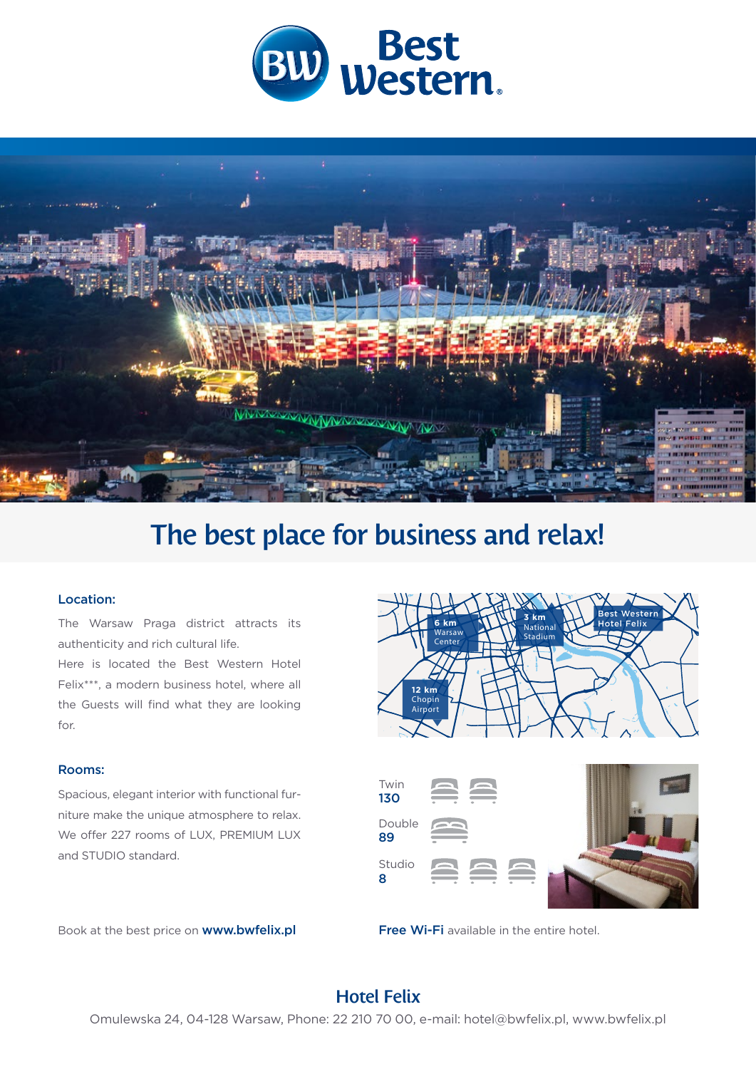



# The best place for business and relax!

#### Location:

The Warsaw Praga district attracts its authenticity and rich cultural life. Here is located the Best Western Hotel

Felix\*\*\*, a modern business hotel, where all the Guests will find what they are looking for.

#### Rooms:

Spacious, elegant interior with functional furniture make the unique atmosphere to relax. We offer 227 rooms of LUX, PREMIUM LUX and STUDIO standard.







### Hotel Felix

Omulewska 24, 04-128 Warsaw, Phone: 22 210 70 00, e-mail: hotel@bwfelix.pl, www.bwfelix.pl